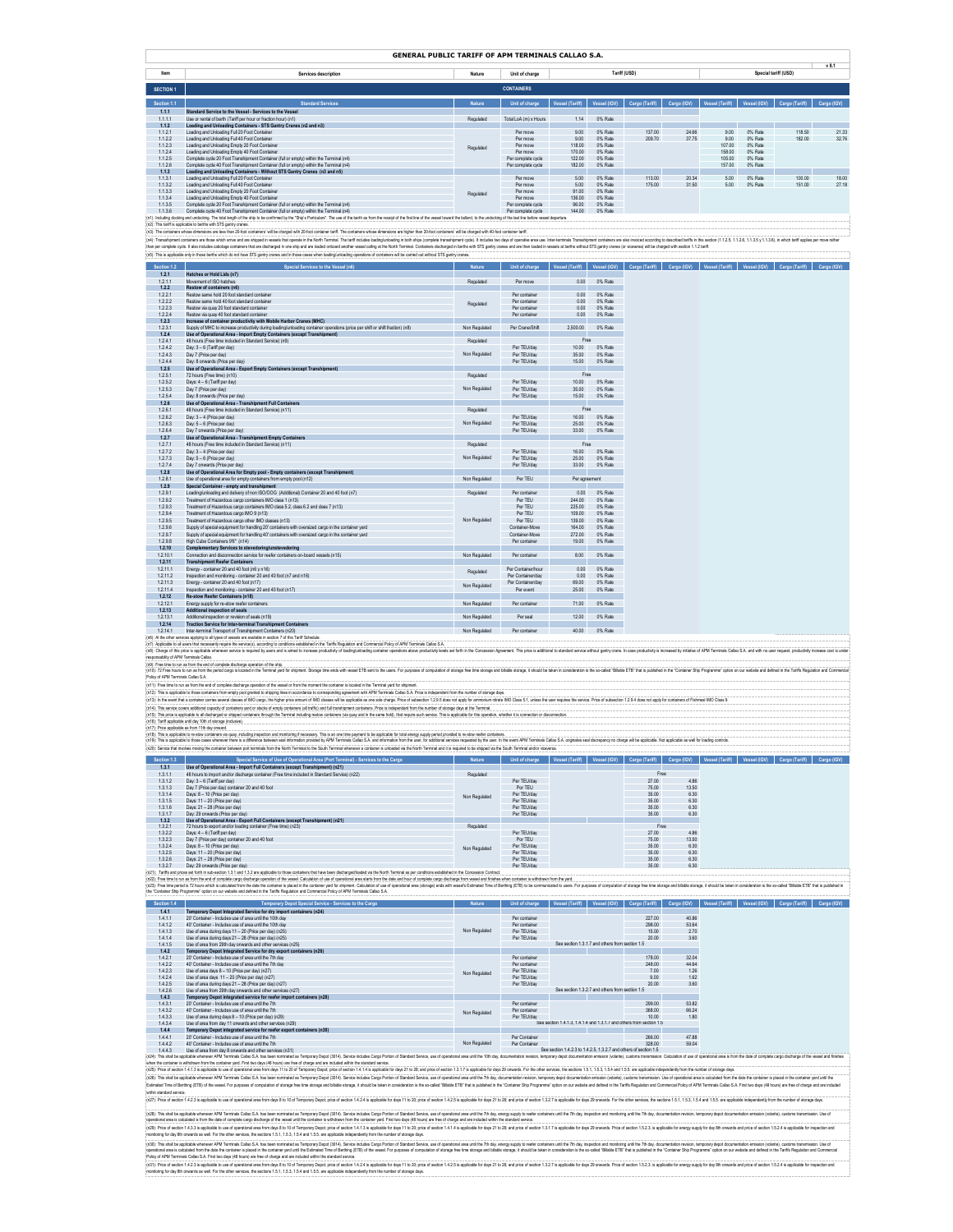|                                        | GENERAL PUBLIC TARIFF OF APM TERMINALS CALLAO S.A.                                                                                                                                                                                                                                                                                                                                                                                                                                                                                                                                                                                                                                                 |                                |                                                      |                                                                                                                               |                               |                                                                                              |                        |                             |                               |                             |       |
|----------------------------------------|----------------------------------------------------------------------------------------------------------------------------------------------------------------------------------------------------------------------------------------------------------------------------------------------------------------------------------------------------------------------------------------------------------------------------------------------------------------------------------------------------------------------------------------------------------------------------------------------------------------------------------------------------------------------------------------------------|--------------------------------|------------------------------------------------------|-------------------------------------------------------------------------------------------------------------------------------|-------------------------------|----------------------------------------------------------------------------------------------|------------------------|-----------------------------|-------------------------------|-----------------------------|-------|
| Item                                   | Services description                                                                                                                                                                                                                                                                                                                                                                                                                                                                                                                                                                                                                                                                               | Nature                         | Unit of charge                                       |                                                                                                                               |                               | Tariff (USD)                                                                                 |                        |                             |                               | Special tariff (USD)        | v 8.1 |
| <b>SECTION 1</b>                       |                                                                                                                                                                                                                                                                                                                                                                                                                                                                                                                                                                                                                                                                                                    |                                | <b>CONTAINERS</b>                                    |                                                                                                                               |                               |                                                                                              |                        |                             |                               |                             |       |
| Section 1.1<br>1.1.1                   | <b>Standard Services</b><br>Standard Service to the Vessel - Services to the Vessel                                                                                                                                                                                                                                                                                                                                                                                                                                                                                                                                                                                                                |                                | Unit of charge                                       | Vessel (Tariff)                                                                                                               |                               | Vessel (IGV)   Cargo (Tariff)   Cargo (IGV)   Vessel (Tariff)   Vessel (IGV)   Cargo (Tariff |                        |                             |                               |                             |       |
| 1.1.1.1<br>1.1.2<br>1.12.1             | Use or rental of berth (Tariff per hour or fraction hour) (n1)<br>Loading and Unloading Containers - STS Gantry Cranes (n2 and n3)<br>Loading and Unloading Full 20 Foot Container                                                                                                                                                                                                                                                                                                                                                                                                                                                                                                                 | Regulated                      | Total LoA (m) x Hours<br>Per move                    | 1.14<br>9.00                                                                                                                  | 0% Rate<br>0% Rate            | 137.00                                                                                       | 24.66                  | 9.00                        | 0% Rate                       | 118.50                      | 21.33 |
| 1.1.2.2<br>1.123                       | Loading and Unloading Full 40 Foot Container<br>Loading and Unloading Empty 20 Foot Container                                                                                                                                                                                                                                                                                                                                                                                                                                                                                                                                                                                                      | Regulated                      | Per move<br>Per move                                 | 9.00<br>118.00                                                                                                                | 0% Rate<br>0% Rate            | 209.70                                                                                       | 37.75                  | 9.00<br>107.00              | 0% Rate<br>0% Rate            | 182.00                      | 32.76 |
| 1124<br>1.1.2.5<br>1.1.26              | Loading and Unipading Empty 40 Engl Container<br>Complete cycle 20 Foot Transhipment Container (full or empty) within the Terminal (n4)<br>Complete cycle 40 Foot Transhipment Container (full or empty) within the Terminal (n4)                                                                                                                                                                                                                                                                                                                                                                                                                                                                  |                                | Per move<br>Per complete cycle<br>Per complete cycle | 170.00<br>122.00<br>182.00                                                                                                    | 0% Rate<br>0% Rate<br>0% Rate |                                                                                              |                        | 158.00<br>105.00<br>157.00  | 0% Rate<br>0% Rate<br>0% Rate |                             |       |
| 1.1.3<br>1.1.3.1                       | Loading and Unloading Containers - Without STS Gantry Cranes (n3 and n5)<br>Loading and Unloading Full 20 Foot Container                                                                                                                                                                                                                                                                                                                                                                                                                                                                                                                                                                           |                                | Per move                                             | 5.00                                                                                                                          | 0% Rate                       | 113.00                                                                                       | 20.34                  | 5.00                        | 0% Rate                       | 100.00                      | 18.00 |
| 1.1.3.2<br>1133                        | Loading and Unloading Full 40 Foot Container<br>Loading and Unipading Empty 20 Epot Container<br>Loading and Unipading Empty 40 Eoot Container                                                                                                                                                                                                                                                                                                                                                                                                                                                                                                                                                     | Regulated                      | Per move<br>Per move                                 | 5.00<br>9100                                                                                                                  | 0% Rate<br>0% Rate            | 175.00                                                                                       | 31.50                  | 5.00                        | 0% Rate                       | 151.00                      | 27.18 |
| 1.1.3.4<br>1.1.3.5<br>1.1.3.6          | Complete cycle 20 Foot Transhipment Container (full or empty) within the Terminal (n4)<br>Complete cycle 40 Foot Transhipment Container (full or empty) within the Terminal (n4)                                                                                                                                                                                                                                                                                                                                                                                                                                                                                                                   |                                | Per move<br>Per complete cycle<br>Per complete cycle | 136.00<br>96.00<br>144.00                                                                                                     | 0% Rate<br>0% Rate<br>0% Rate |                                                                                              |                        |                             |                               |                             |       |
|                                        | (n1): Including docking and undocking. The total length of the ship to be confirmed by the "Ship's Particulars". The use of the berth as from the receipt of the first line of the vessel toward the botted, to the undocking<br>(n2): This tariff is applicable to berths with STS gantry cranes.                                                                                                                                                                                                                                                                                                                                                                                                 |                                |                                                      |                                                                                                                               |                               |                                                                                              |                        |                             |                               |                             |       |
|                                        | (n3): The containers whose dimensions are less than 20-foot containers' will be charged with 20-foot container tariff. The containers whose dimensions are higher than 20-foot containers' will be charged with 40-foot contai<br>(n4): Transdripment containes are those which arive and are shipped in wesels that operate in the North Terminal. The tariff includes basting/unbasing in both ships (complets transdripment cycle). It includes two days of o                                                                                                                                                                                                                                   |                                |                                                      |                                                                                                                               |                               |                                                                                              |                        |                             |                               |                             |       |
|                                        | then per complete cycle. It also includes cabatage containers that are discharged in one ship and are loaded onboard another vessel calling at the North Terminal. Containers discharged in betha with STS ganthy cranes and a<br>(n5): This is applicable only in those berths which do not have STS gantry cranes and in those cases when loading/unloading operations of containers will be carried out without STS gantry cranes                                                                                                                                                                                                                                                               |                                |                                                      |                                                                                                                               |                               |                                                                                              |                        |                             |                               |                             |       |
| Section 1.2<br>1.2.1                   | ecial Services to the Vessel<br>Hatches or Hold Lids (n7)                                                                                                                                                                                                                                                                                                                                                                                                                                                                                                                                                                                                                                          |                                | Unit of charge                                       | Vessel (Tariff)                                                                                                               | Vessel (IGV)                  | Cargo (Tariff)                                                                               |                        | Cargo (IGV) Vessel (Tariff) |                               | Vessel (IGV) Cargo (Tariff) |       |
| 1.211<br>1.2.2                         | Movement of ISO hatches<br>Restow of containers (n6)                                                                                                                                                                                                                                                                                                                                                                                                                                                                                                                                                                                                                                               | Regulated                      | Per move                                             | 0.00<br>0.00                                                                                                                  | 0% Rate<br>0% Rate            |                                                                                              |                        |                             |                               |                             |       |
| 1.22.1<br>1222<br>1223                 | Restow same hold 20 foot standard container<br>Restow same hold 40 foot standard container<br>Restow via quay 20 foot standard container                                                                                                                                                                                                                                                                                                                                                                                                                                                                                                                                                           | Regulated                      | Per container<br>Per mntainer<br>Per container       | 0.00<br>0.00                                                                                                                  | 0% Rate<br>0% Rate            |                                                                                              |                        |                             |                               |                             |       |
| 1224<br>12.3                           | Restow via quay 40 foot standard container<br>Increase of container productivity with Mobile Harbor Cranes (MHC)                                                                                                                                                                                                                                                                                                                                                                                                                                                                                                                                                                                   |                                | Per container                                        | 0.00                                                                                                                          | 0% Rate                       |                                                                                              |                        |                             |                               |                             |       |
| 1.2.3.1<br>12.4<br>1241                | Supply of MHC to increase productivity during loading/unloading container operations (price per shift or shift fraction) (n8)<br>Use of Operational Area - Import Empty Containers (except Transhipment)<br>48 hours (Free time included in Standard Service) (n9)                                                                                                                                                                                                                                                                                                                                                                                                                                 | Non Regulated<br>Regulated     | Per Crane/Shift                                      | 2,500.00<br>Free                                                                                                              | 0% Rate                       |                                                                                              |                        |                             |                               |                             |       |
| 1242<br>1243                           | Day 3 - 6 (Tariff ner day)<br>Day 7 (Price ner day)                                                                                                                                                                                                                                                                                                                                                                                                                                                                                                                                                                                                                                                | Non Regulated                  | Per TFI I/day<br>Per TFU/day                         | 10.00<br>3500                                                                                                                 | 0% Rate<br>0% Rate            |                                                                                              |                        |                             |                               |                             |       |
| 1.244<br>1.2.5                         | Day: 8 onwards (Price per day)<br>Use of Operational Area - Export Empty Containers (except Transhipment)                                                                                                                                                                                                                                                                                                                                                                                                                                                                                                                                                                                          |                                | Per TEU/day                                          | 15.00                                                                                                                         | 0% Rate                       |                                                                                              |                        |                             |                               |                             |       |
| 1.2.5.1<br>1252<br>1.2.53              | 72 hours (Free time) (n10)<br>Days: 4 - 6 (Tariff per day)<br>Day 7 (Price per day)                                                                                                                                                                                                                                                                                                                                                                                                                                                                                                                                                                                                                | Regulated<br>Non Regulated     | Per TEU/day<br>Per TEU/day                           | Free<br>10.00<br>35.00                                                                                                        | 0% Rate<br>0% Rate            |                                                                                              |                        |                             |                               |                             |       |
| 1.254<br>12.6                          | Day: 8 onwards (Price per day)<br>Use of Operational Area - Transhipment Full Containers                                                                                                                                                                                                                                                                                                                                                                                                                                                                                                                                                                                                           |                                | Per TEU/day                                          | 15.00                                                                                                                         | 0% Rate                       |                                                                                              |                        |                             |                               |                             |       |
| 1.26.1<br>1262<br>1263                 | 48 hours (Free time included in Standard Service) (n11)<br>Day: 3 - 4 (Price per day)<br>Day: 5 - 6 (Price per day)                                                                                                                                                                                                                                                                                                                                                                                                                                                                                                                                                                                | Regulated<br>Non Regulated     | Per TFLI/day<br>Per TFLI/day                         | Free<br>16.00<br>25.00                                                                                                        | 0% Rate<br>0% Rate            |                                                                                              |                        |                             |                               |                             |       |
| 1.264<br>12.7                          | Day 7 onwards (Price per day)<br>Use of Operational Area - Transhipment Empty Containers                                                                                                                                                                                                                                                                                                                                                                                                                                                                                                                                                                                                           |                                | Per TEU/day                                          | 33.00                                                                                                                         | 0% Rate                       |                                                                                              |                        |                             |                               |                             |       |
| 1.2.7.1<br>1272                        | 48 hours (Free time included in Standard Service) (n11)<br>Day: 3 - 4 (Price per day)                                                                                                                                                                                                                                                                                                                                                                                                                                                                                                                                                                                                              | Regulated                      | Per TEU/day                                          | Free<br>16.00                                                                                                                 | 0% Rate                       |                                                                                              |                        |                             |                               |                             |       |
| 1273<br>1.2.7.4<br>12.8                | Day: 5 - 6 (Price per day)<br>Day 7 onwards (Price per day)<br>Use of Operational Area for Empty pool - Empty containers (except Transhipment)                                                                                                                                                                                                                                                                                                                                                                                                                                                                                                                                                     | Non Regulated                  | Per TEU/day<br>Per TEU/day                           | 25.00<br>33.00                                                                                                                | 0% Rate<br>0% Rate            |                                                                                              |                        |                             |                               |                             |       |
| 1.28.1<br>1.2.9                        | Use of operational area for empty containers from empty pool (n12)<br>Special Container - empty and transhipment                                                                                                                                                                                                                                                                                                                                                                                                                                                                                                                                                                                   | Non Regulated                  | Per TEU                                              | Per agreement                                                                                                                 |                               |                                                                                              |                        |                             |                               |                             |       |
| 1291<br>1292                           | Loading/unloading and delivery of non ISO/OOG (Additional) Container 20 and 40 foot (n7)<br>Treatment of Hazardous cargo containers IMO class 1 (n13)                                                                                                                                                                                                                                                                                                                                                                                                                                                                                                                                              | Regulated                      | Per container<br>Per TFU                             | 0.00<br>244.00                                                                                                                | 0% Rate<br>0% Rate            |                                                                                              |                        |                             |                               |                             |       |
| 1293<br>1294<br>1295                   | Treatment of Hazardous cargo containers IMO class 5.2, class 6.2 and class 7 (n13)<br>Treatment of Hazardous cargo IMO 9 (n13)<br>Treatment of Hazardous cargo other IMO classes (n13)                                                                                                                                                                                                                                                                                                                                                                                                                                                                                                             | Non Regulated                  | Per TFU<br>Per TFU<br>Per TFU                        | 225.00<br>109.00<br>139.00                                                                                                    | 0% Rate<br>0% Rate<br>0% Rate |                                                                                              |                        |                             |                               |                             |       |
| 1296<br>1.2.9.7                        | Supply of special equipment for handling 20' containers with oversized cargo in the container yard<br>Supply of special equipment for handling 40' containers with oversized cargo in the container vard                                                                                                                                                                                                                                                                                                                                                                                                                                                                                           |                                | Container-Move<br>Container-Move                     | 164.00<br>272.00                                                                                                              | 0% Rate<br>0% Rate            |                                                                                              |                        |                             |                               |                             |       |
| 1298<br>1.2.10                         | High Cube Containers 9'6" (n14)<br>Complementary Services to stevedoring/unstevedoring                                                                                                                                                                                                                                                                                                                                                                                                                                                                                                                                                                                                             |                                | Per container                                        | 19.00                                                                                                                         | 0% Rate                       |                                                                                              |                        |                             |                               |                             |       |
| 1.2.10.1<br>1.2.11<br>1.2.11.1         | Connection and disconnection service for reefer containers on-board vessels (n15)<br><b>Transhipment Reefer Containers</b><br>Enerov - container 20 and 40 foot (n6 y n16)                                                                                                                                                                                                                                                                                                                                                                                                                                                                                                                         | Non Regulated                  | Per container<br>Per Container/hour                  | 8.00<br>0.00                                                                                                                  | 0% Rate<br>0% Rate            |                                                                                              |                        |                             |                               |                             |       |
| 1.2.11.2<br>1.2.11.3                   | Inspection and monitoring - container 20 and 40 foot (n7 and n16)<br>Energy - container 20 and 40 foot (n17)                                                                                                                                                                                                                                                                                                                                                                                                                                                                                                                                                                                       | Regulated<br>Non Regulated     | Per Container/day<br>Per Container/day               | 0.00<br>69.00                                                                                                                 | 0% Rate<br>0% Rate            |                                                                                              |                        |                             |                               |                             |       |
| 1.2.11.4<br>1,2.12                     | Inspection and monitoring - container 20 and 40 foot (n17)<br>Re-stow Reefer Containers (n18)                                                                                                                                                                                                                                                                                                                                                                                                                                                                                                                                                                                                      |                                | Per event                                            | 25.00                                                                                                                         | 0% Rate                       |                                                                                              |                        |                             |                               |                             |       |
| 1.2.12.1<br>1.2.13<br>1.2.13.1         | Eneroy supply for re-stow reefer containers<br>Additional inspection of seals<br>Additional inspection or revision of seals (n19)                                                                                                                                                                                                                                                                                                                                                                                                                                                                                                                                                                  | Non Regulated<br>Non Regulated | Per container<br>Per seal                            | 71.00<br>12.00                                                                                                                | 0% Rate<br>0% Rate            |                                                                                              |                        |                             |                               |                             |       |
| 1.2.14<br>1.2.14.1                     | Traction Service for Inter-terminal Transhipment Contai<br>Inter-terminal Transport of Transhipment Containers (n20)                                                                                                                                                                                                                                                                                                                                                                                                                                                                                                                                                                               | Non Regulated                  | Per containe                                         | 40.00                                                                                                                         | 0% Rate                       |                                                                                              |                        |                             |                               |                             |       |
| (n6): Al the other :                   | rices applying to all types of vessels are available in section 7 of this Tariff Schedule<br>(n7): Applicable to all users that necessarily require the service(s), according to conditions established in the Tariffs Regulation and Commercial Policy of APM Terminals Callao S.A.<br>(nB): Charge of this price is applicable wheneve service is required by users and is aimed to increase productivity of loading luniable procedions above productivity levels set/forth in the Concession Agreement. This price                                                                                                                                                                             |                                |                                                      |                                                                                                                               |                               |                                                                                              |                        |                             |                               |                             |       |
| responsability of APM Terminals Callao | (r8): Free time to run as from the end of complete discharge operation of the ship.                                                                                                                                                                                                                                                                                                                                                                                                                                                                                                                                                                                                                |                                |                                                      |                                                                                                                               |                               |                                                                                              |                        |                             |                               |                             |       |
| Policy of APM Terminals Callao S.A.    | (n10): 12 Free hours to run as from the period cargo is located in the Eleminal yard or shipped Strago free ends with recent Ele sent to the users. For purposes of computation of storage free time should be black in consid<br>(n11): Free time to run as from the end of complete discharge operation of the vessel or from the moment the container is located in the Terminal vard for shipment                                                                                                                                                                                                                                                                                              |                                |                                                      |                                                                                                                               |                               |                                                                                              |                        |                             |                               |                             |       |
|                                        | (n12): This is applicable to those containers from empty pool granted to shipping lines in accordance to corresponding agreement with APM Terminals Callao S.A. Price is independent from the number of storage days<br>(n13): In the event that a container carries several classes of MO cargo, the higher price amount of MO classes will be applicable as one sole charge. Price of subsection 12.9.5 does not apply for ammonium nitrate MO Class                                                                                                                                                                                                                                             |                                |                                                      |                                                                                                                               |                               |                                                                                              |                        |                             |                               |                             |       |
|                                        | (n14): This service covers additional capacity of containers yard or stacks of empty containers (all traffic) and full transhipment containers. Price is independant from the number of storage days at the Terminal.<br>(n15): This price is applicable to all discharged or shipped containers through the Terminal including restow containers (via quay and in the same hold), that require such service. This is applicable for this operation, wh                                                                                                                                                                                                                                            |                                |                                                      |                                                                                                                               |                               |                                                                                              |                        |                             |                               |                             |       |
|                                        | In16): Tariff applicable until day 10th of storage (inclusive).<br>(n17): Price applicable as from 11th day onward.<br>(n18): This is applicable to re-stow containers via quay; including inspection and monitoring if necessary. This is an one time payment to be applicable for total energy supply period provided to re-stow reefer containers.                                                                                                                                                                                                                                                                                                                                              |                                |                                                      |                                                                                                                               |                               |                                                                                              |                        |                             |                               |                             |       |
| (n19): This is applica                 | ble to those cases wit<br>cOII: Service that involves moving the container between port terminals from the North Terminal to the South Terminal whenever a container is unloaded via the North Terminal and it is required to be shipped via the South T                                                                                                                                                                                                                                                                                                                                                                                                                                           |                                | nt APM Terminals                                     |                                                                                                                               |                               |                                                                                              | de. Not app            |                             |                               |                             |       |
| Section 1.3<br>13.1                    | Special Service of Use of Operational Area (Port Terminal) - Services to the Carg<br>Use of Operational Area - Import Full Containers (except Transhipment) (n21)                                                                                                                                                                                                                                                                                                                                                                                                                                                                                                                                  |                                | Unit of charge                                       | <b>Vessel (Tariff)</b>                                                                                                        |                               | Cargo (Tariff)                                                                               | Cargo (IGV)            |                             |                               |                             |       |
| 1.3.1.1<br>1.3.1.2                     | 48 hours to import and/or discharge container (Free time included in Standard Service) (n22)<br>Day 3 - 6 (Tariff ner day)                                                                                                                                                                                                                                                                                                                                                                                                                                                                                                                                                                         | Regulated                      | Per TEU/day                                          |                                                                                                                               |                               | Free<br>27.00                                                                                | 4.86                   |                             |                               |                             |       |
| 1.3.1.3<br>1.3.1.4<br>1315             | Day 7 (Price per day) container 20 and 40 foot<br>Dave: 8 - 10 (Price per day)<br>Days: 11 - 20 (Price ner day)                                                                                                                                                                                                                                                                                                                                                                                                                                                                                                                                                                                    | Non Regulated                  | Por TEU<br>Per TEU/day<br>Per TFU/day                |                                                                                                                               |                               | 75.00<br>3500<br>35.00                                                                       | 13.50<br>6.30<br>6.30  |                             |                               |                             |       |
| 1.3.1.6<br>1.3.1.7                     | Days: 21 - 28 (Price per day)<br>Day: 29 onwards (Price per day)                                                                                                                                                                                                                                                                                                                                                                                                                                                                                                                                                                                                                                   |                                | Per TEU/day<br>Per TEU/day                           |                                                                                                                               |                               | 35.00<br>35.00                                                                               | 6.30<br>6.30           |                             |                               |                             |       |
| 132<br>1.3.2.1<br>1322                 | Use of Operational Area - Export Full Containers (except Transhipment) (n21)<br>72 hours to export and/or loading container (Free time) (n23)<br>Days: 4 - 6 (Tariff ner day)                                                                                                                                                                                                                                                                                                                                                                                                                                                                                                                      | Regulated                      | Per TFI I/day                                        |                                                                                                                               |                               | Free<br>27.00                                                                                | 486                    |                             |                               |                             |       |
| 1.323<br>1.324                         | Day 7 (Price per day) container 20 and 40 foot<br>Days: 8 - 10 (Price per day)                                                                                                                                                                                                                                                                                                                                                                                                                                                                                                                                                                                                                     | Non Regulated                  | Por TEU<br>Per TEU/day                               |                                                                                                                               |                               | 75.00<br>35.00                                                                               | 13.50<br>6.30          |                             |                               |                             |       |
| 1325<br>1326<br>1327                   | Days: 11 - 20 (Price per day)<br>Davs: 21 - 28 (Price per day)<br>Day 29 onwards (Price ner day)                                                                                                                                                                                                                                                                                                                                                                                                                                                                                                                                                                                                   |                                | Per TEU/day<br>Per TEU/day<br>Par TFI IMay           |                                                                                                                               |                               | 35.00<br>3500<br>3500                                                                        | 6.30<br>6.30<br>6.30   |                             |                               |                             |       |
|                                        | (n21): Tariffs and prices set forth in sub-section 1.3.1 and 1.3.2 are applicable to those containers that have been discharged/loaded via the North Terminal as per conditions established in the Concession Contract.<br>(n22). Free lime to run as from the end of complete cargo discharge coeration of the vessel. Calculation of use of coerational area starts from the date and hour of complete cargo discharge from wessel and firishes when co                                                                                                                                                                                                                                          |                                |                                                      |                                                                                                                               |                               |                                                                                              |                        |                             |                               |                             |       |
|                                        | (iC3): Free firm period is 72 hours which is calculated from the date the container is placed in the container is placed in the container and for entiremel Calculation of use of operational area (dosage) ends with respects<br>the "Container Ship Programme" option on our website and defined in the Tariffs Requisition and Commercial Policy of APM Terminals Callao S.A.                                                                                                                                                                                                                                                                                                                   |                                |                                                      |                                                                                                                               |                               |                                                                                              |                        |                             |                               |                             |       |
| 1.4.1                                  | Temporary Depot Special Service - Services to the Cargo<br>Temporary Depot Integrated Service for dry import containers (n24)                                                                                                                                                                                                                                                                                                                                                                                                                                                                                                                                                                      |                                | Unit of charge                                       | Vessel (Tariff)   Vessel (IGV)   Cargo (Tariff)   Cargo (IGV)   Vessel (Tariff)   Vessel (IGV)   Cargo (Tariff)   Cargo (IGV) |                               |                                                                                              |                        |                             |                               |                             |       |
| 1.4.1.1<br>1.4.1.2<br>1413             | 20' Container - Includes use of area until the 10th dav<br>40' Container - Includes use of area until the 10th day<br>Use of area during days 11 - 20 (Price ner day) (n25)                                                                                                                                                                                                                                                                                                                                                                                                                                                                                                                        | Non Regulated                  | Per containe<br>Per containe<br>Per TFU/day          |                                                                                                                               |                               | 227.00<br>298.00<br>15.00                                                                    | 40.86<br>53.64<br>2.70 |                             |                               |                             |       |
| 1.4.1.4<br>1.4.1.5                     | Use of area during days 21 - 28 (Price ner day) (n25)<br>Use of area from 29th day onwards and other services (n25)                                                                                                                                                                                                                                                                                                                                                                                                                                                                                                                                                                                |                                | Per TEU/day                                          | See section 1.3.1.7 and others from section 1.5                                                                               |                               | 20.00                                                                                        | 3.60                   |                             |                               |                             |       |
| 14.2<br>1.4.2.1<br>1.4.2.2             | Temporary Depot Integrated Service for dry export containers (n26)<br>20' Container - Includes use of area until the 7th dav<br>40' Container - Includes use of area until the 7th day                                                                                                                                                                                                                                                                                                                                                                                                                                                                                                             |                                | Per container<br>Per containe                        |                                                                                                                               |                               | 178.00<br>248.00                                                                             | 32.04<br>44.64         |                             |                               |                             |       |
| 1423<br>1.4.2.4                        | Use of area days 8 - 10 (Price per day) (n27)<br>Use of area days 11 - 20 (Price per day) (n27)                                                                                                                                                                                                                                                                                                                                                                                                                                                                                                                                                                                                    | Non Regulated                  | Per TFI I/day<br>Per TEU/day                         |                                                                                                                               |                               | 7.00<br>9.00                                                                                 | 126<br>1.62            |                             |                               |                             |       |
| 1425<br>1.4.2.6<br>1.4.3               | Use of area during days 21 - 28 (Price per day) (n27)<br>Use of area from 29th dav onwards and other services (n27)<br>Temporary Depot integrated service for reefer import contai<br>tere (n28)                                                                                                                                                                                                                                                                                                                                                                                                                                                                                                   |                                | Per TEU/day                                          | See section 1.3.2.7 and others from section 1.5                                                                               |                               | 20.00                                                                                        | 3.60                   |                             |                               |                             |       |
| 1.4.3.1<br>1432                        | 20' Container - Includes use of area until the 7th<br>40' Container - Includes use of area until the 7th                                                                                                                                                                                                                                                                                                                                                                                                                                                                                                                                                                                           | Non Regulated                  | Per container<br>Per motaine                         |                                                                                                                               |                               | 299.00<br>368.00                                                                             | 53.82<br>66.24         |                             |                               |                             |       |
| 1,4,3,3<br>1,4,3,4<br>14.4             | Use of area during days 8 - 10 (Price per day) (n29)<br>Use of area from day 11 onwards and other services (n29)<br>Temporary Depot integrated service for reefer export containers (n30)                                                                                                                                                                                                                                                                                                                                                                                                                                                                                                          |                                | Per TEU/day                                          | See section 1.4.1.3, 1.4.1.4 and 1.3.1.7 and others from section 1.5                                                          |                               | 10.00                                                                                        | 1.80                   |                             |                               |                             |       |
| 1.4.4.1<br>1442                        | 20' Container - Includes use of area until the 7th<br>40' Container - Includes use of area until the 7th                                                                                                                                                                                                                                                                                                                                                                                                                                                                                                                                                                                           | Non Regulated                  | Per Container<br>Per Container                       |                                                                                                                               |                               | 266.00<br>328.00                                                                             | 47.88<br>59.04         |                             |                               |                             |       |
| 1443                                   | Use of area from day 8 onwards and other services (n31)<br>(n24): This shall be applicable whenever APM Terminals Callao S.A. has been nominated as Temporary Depot (3014). Service includes Cargo Portion of Standard Service, use of operational area arell the 10th day, documentation<br>when the container is withdrawn from the container yard. First two days (48 hours) are free of charge and are included within the standard service                                                                                                                                                                                                                                                    |                                |                                                      | See section 1.4.2.3 to 1.4.2.5. 1.3.2.7 and others of section 1.5                                                             |                               |                                                                                              |                        |                             |                               |                             |       |
|                                        | (n25): Price of section 1.4.1.3 is applicable to use of operational area from days 11 to 20 of Temporary Depot; price of section 1.4.1.4 is applicable for days 21 to 28; and price of section 1.3.1.7 is applicable for days<br>(n26): This shall be applicable wherever APM Terminals Calao S.A. has been nominated as Termonav Depot (3014). Service includes Carop Portion of Standard Service, use of operational area until the 7th day, documentation re                                                                                                                                                                                                                                    |                                |                                                      |                                                                                                                               |                               |                                                                                              |                        |                             |                               |                             |       |
| within standard service                | Estimated Time of Berthing (ETB) of the vessel. For purposes of computation of storage free storage and billable storage, it should be taken in consideration is the so-called "Blabble ETB" that is published in the "Contain                                                                                                                                                                                                                                                                                                                                                                                                                                                                     |                                |                                                      |                                                                                                                               |                               |                                                                                              |                        |                             |                               |                             |       |
|                                        | (n27): Price of section 1.4.2.3 is applicable to use of operational area from days 8 to 10 of Temporary Depot; price of section 1.4.2.4 is applicable for days 11 to 20; price of section 1.4.2.6 is applicable for days 21 to                                                                                                                                                                                                                                                                                                                                                                                                                                                                     |                                |                                                      |                                                                                                                               |                               |                                                                                              |                        |                             |                               |                             |       |
|                                        | (<26): This shall be applicable wherever APM Terminal Calso SA has been nominated as Temporary Depot (3014). Service includes Cargo Portion of Standard Service, use of operational area until the 7th day, recepy pupply to r<br>operational area is calculated is from the date of complete cargo discharge of the vessel until the container is withdrawn from the container yard. First two days (48 hours) are free of charge and are included within the s<br>(n29): Price of section 1.4.3.3 is applicable to use of operational area from days 8 to 10 of Temporary Depot; price of section 1.4.1.3 is applicable for days 11 to 20; price of section 1.4.1.4 is applicable for days 21 to |                                |                                                      |                                                                                                                               |                               |                                                                                              |                        |                             |                               |                             |       |
|                                        | monitoring for day 8th onwards as well. For the other services, the sections 1.5.1, 1.5.3, 1.5.4 and 1.5.5. are applicable independently from the number of storage days<br>(n30): This shall be applicable wherever APM Terminals Calso SA. has been nominated as Temporary Depot (3014). Service includes Cargo Portion of Standard Service, use of operational area until the 7th day, reresy supply to                                                                                                                                                                                                                                                                                         |                                |                                                      |                                                                                                                               |                               |                                                                                              |                        |                             |                               |                             |       |
|                                        | operational area is calculated from the date the container is placed in the container yard until the Estimated Time of Berthing (ETB) of the vessel. For purposes of computation of storage free storage and bibliote storage,<br>olicy of APM Terminals Callao S.A. First two days (48 hours) are free of charge and are included within the standard service                                                                                                                                                                                                                                                                                                                                     |                                |                                                      |                                                                                                                               |                               |                                                                                              |                        |                             |                               |                             |       |
|                                        | (n31): Price of section 1.4.2.3 is applicable to use of operational area from days 8 to 10 of Temporary Depot; price of section 1.4.24 is applicable for days 11 to 20; price of section 1.4.2.4 is applicable for days 21 to<br>monitoring for day 8th onwards as well. For the other services, the sections 1.5.1, 1.5.3, 1.5.4 and 1.5.5, are applicable independently from the number of storage days                                                                                                                                                                                                                                                                                          |                                |                                                      |                                                                                                                               |                               |                                                                                              |                        |                             |                               |                             |       |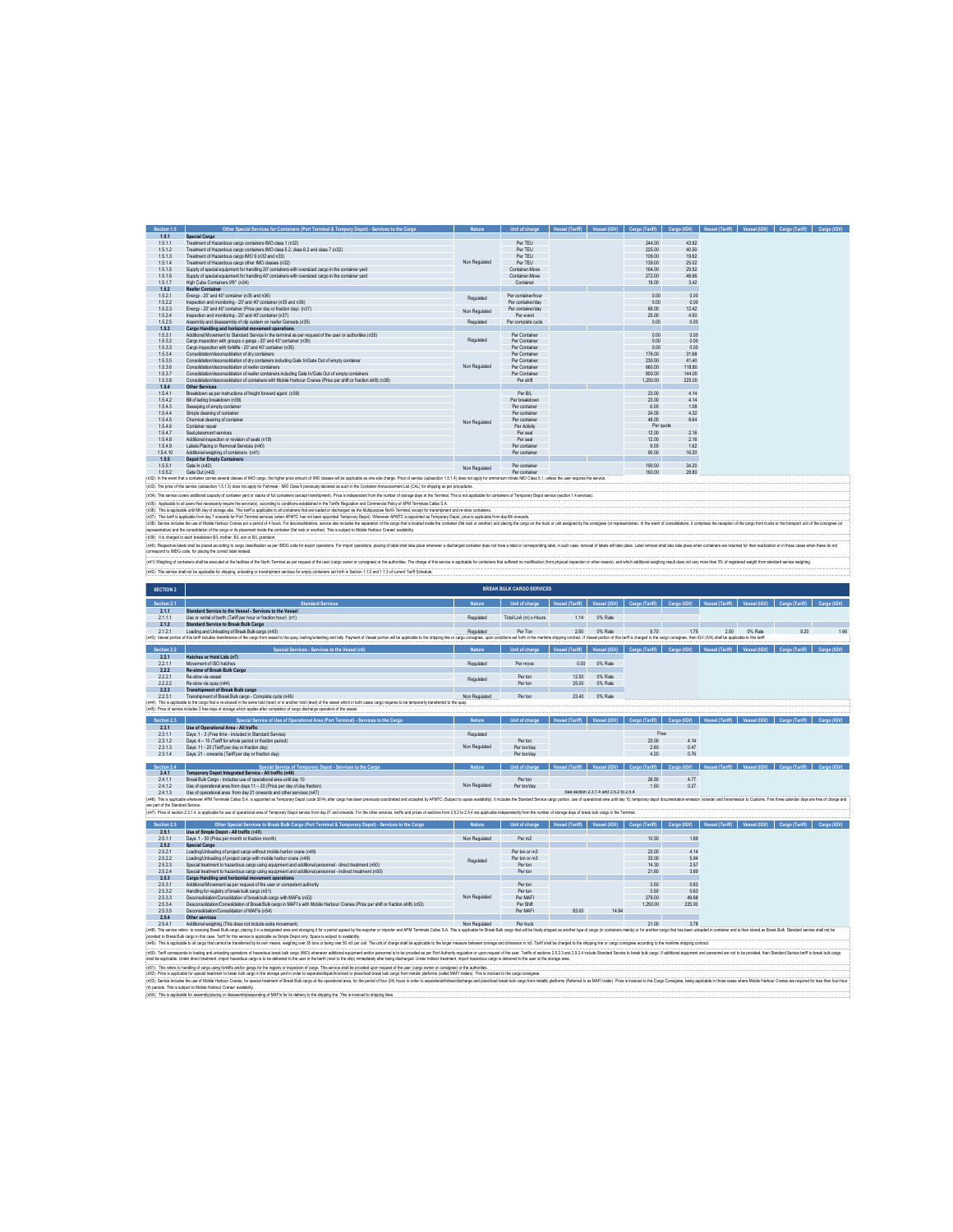| Section 1.5 | Other Special Services for Containers (Port Terminal & Tempory Depot) - Services to the Cargo                                                                                                                                  | <b>Nature</b> | Unit of charge     | Vessel (Tariff) | Vessel (IGV) | Cargo (Tariff) | Cargo (IGV) | Vessel (IGV)<br>Vessel (Tariff) | Cargo (Tariff) | Cargo (IGV) |
|-------------|--------------------------------------------------------------------------------------------------------------------------------------------------------------------------------------------------------------------------------|---------------|--------------------|-----------------|--------------|----------------|-------------|---------------------------------|----------------|-------------|
| 1.5.1       | Special Cargo                                                                                                                                                                                                                  |               |                    |                 |              |                |             |                                 |                |             |
| 1.5.1.1     | Treatment of Hazardous caroo containers IMO class 1 (n32)                                                                                                                                                                      |               | Per TEU            |                 |              | 244.00         | 43.92       |                                 |                |             |
| 1.5.1.2     | Treatment of Hazardous caroo containers IMO class 5.2 class 6.2 and class 7 (n32).                                                                                                                                             |               | Per TEU            |                 |              | 225.00         | 40.50       |                                 |                |             |
| 1.5.1.3     | Treatment of Hazardous caroo IMO 9 (n32 and n33)                                                                                                                                                                               |               | Per TEU            |                 |              | 109.00         | 19.62       |                                 |                |             |
| 1.5.1.4     | Treatment of Hazardous cargo other IMO classes (n32)                                                                                                                                                                           | Non Regulated | Per TEU            |                 |              | 139.00         | 25.02       |                                 |                |             |
| 1.5.1.5     | Supply of special equipment for handling 20' containers with oversized cargo in the container vard                                                                                                                             |               | Container-Move     |                 |              | 164.00         | 29.52       |                                 |                |             |
| 1.5.1.6     | Sunnly of special equipment for handling 40' containers with oversized caroo in the container vard                                                                                                                             |               | Container-Move     |                 |              | 272.00         | 48.96       |                                 |                |             |
| 1.5.1.7     | High Cube Containers 9'6" (n34)                                                                                                                                                                                                |               | Container          |                 |              | 19.00          | 3.42        |                                 |                |             |
| 1.5.2       | <b>Reefer Container</b>                                                                                                                                                                                                        |               |                    |                 |              |                |             |                                 |                |             |
| 1.52.1      | Eneroy - 20' and 40' container (n35 and n36)                                                                                                                                                                                   | Regulated     | Per container/hour |                 |              | 0.00           | 0.00        |                                 |                |             |
| 1.522       | Inspection and monitoring - 20' and 40' container (n35 and n36)                                                                                                                                                                |               | Per container/day  |                 |              | 0.00           | 0.00        |                                 |                |             |
| 1.523       | Fneroy - 20' and 40' container (Price ner day or fraction day) (n37).                                                                                                                                                          | Non Regulated | Per container/day  |                 |              | 69.00          | 12.42       |                                 |                |             |
| 1.524       | Inspection and monitoring - 20' and 40' container (n37)                                                                                                                                                                        |               | Per event          |                 |              | 25.00          | 4.50        |                                 |                |             |
| 1.525       | Assembly and disassembly of clin system on reefer Gensets (n35).                                                                                                                                                               | Regulated     | Per complete cycle |                 |              | 0.00           | 0.00        |                                 |                |             |
| 1.5.3       | Cargo Handling and horizontal movement operations                                                                                                                                                                              |               |                    |                 |              |                |             |                                 |                |             |
| 1.5.3.1     | Additional Movement to Standard Service in the terminal as per request of the user or authorities (n35)                                                                                                                        |               | Per Container      |                 |              | 0.00           | 0.00        |                                 |                |             |
| 1.532       | Carno inspection with groups o gangs - 20' and 40' container (n35).                                                                                                                                                            | Regulated     | Per Container      |                 |              | 0.00           | 0.00        |                                 |                |             |
| 1.5.3.3     | Caron inspection with forkifts - 20" and 40" container (n35).                                                                                                                                                                  |               | Per Container      |                 |              | 0.00           | 0.00        |                                 |                |             |
| 1.5.3.4     | Consolidation/deconsolidation of drv containers                                                                                                                                                                                |               | Per Container      |                 |              | 176.00         | 31.68       |                                 |                |             |
| 1.5.3.5     | Consolidation/deconsolidation of dry containers including Gate In/Gate Out of empty container                                                                                                                                  |               | Per Container      |                 |              | 230.00         | 41.40       |                                 |                |             |
| 1,53.6      | Consolidation/deconsolidation of reefer containers                                                                                                                                                                             | Non Regulated | Per Container      |                 |              | 660.00         | 118.80      |                                 |                |             |
| 1.5.3.7     | Consolidation/deconsolidation of reefer containers including Gate In/Gate Out of empty containers                                                                                                                              |               | Per Container      |                 |              | 800.00         | 144.00      |                                 |                |             |
| 1,538       | Consolidation/deconsolidation of containers with Mobile Harbour Cranes (Price per shift or fraction shift) (n38)                                                                                                               |               | Per shift          |                 |              | 1,250.00       | 225.00      |                                 |                |             |
| 1.5.4       | Other Services                                                                                                                                                                                                                 |               |                    |                 |              |                |             |                                 |                |             |
| 1.5.4.1     | Breakdown as per instructions of freight forward agent (n39)                                                                                                                                                                   |               | Per B/L            |                 |              | 23.00          | 4.14        |                                 |                |             |
| 1.5.4.2     | Bill of lading breakdown (n39)                                                                                                                                                                                                 |               | Per breakdown      |                 |              | 23.00          | 4.14        |                                 |                |             |
| 1.5.4.3     | Sweeping of empty container                                                                                                                                                                                                    |               | Per container      |                 |              | 6.00           | 1.08        |                                 |                |             |
| 1.5.4.4     | Simple deaping of container                                                                                                                                                                                                    |               | Per container      |                 |              | 24.00          | 4.32        |                                 |                |             |
| 1.5.4.5     | Chemical cleaning of container                                                                                                                                                                                                 | Non Regulated | Per container      |                 |              | 48.00          | 8.64        |                                 |                |             |
| 1,5.4.6     | Container repair                                                                                                                                                                                                               |               | Per Activity       |                 |              | Per quote      |             |                                 |                |             |
| 1.5.4.7     | Seal placement services                                                                                                                                                                                                        |               | Per seal           |                 |              | 12.00          | 2.16        |                                 |                |             |
| 1,5,4,8     | Additional inspection or revision of seals (n19)                                                                                                                                                                               |               | Per seal           |                 |              | 12.00          | 2.16        |                                 |                |             |
| 1,54.9      | Labels Placing or Removal Services (n40)                                                                                                                                                                                       |               | Per container      |                 |              | 9.00           | 1.62        |                                 |                |             |
| 1.5.4.10    | Additional weighing of containers (n41)                                                                                                                                                                                        |               | Per container      |                 |              | 90.00          | 16.20       |                                 |                |             |
| 1.5.5       | <b>Depot for Empty Containers</b>                                                                                                                                                                                              |               |                    |                 |              |                |             |                                 |                |             |
| 1.5.5.1     | Gate In (n42)                                                                                                                                                                                                                  | Non Regulated | Per container      |                 |              | 190.00         | 34.20       |                                 |                |             |
| 1552        | Gate Out (n42)                                                                                                                                                                                                                 |               | Per mntainer       |                 |              | 160.00         | 28.80       |                                 |                |             |
|             | In32: In the event that a container carries several classes of IMO cargo. the higher price amount of IMO classes will be accilicable as one sole charge. Price of service (subsection 1.5.1.4) does not apply for ammonium nit |               |                    |                 |              |                |             |                                 |                |             |

(All). In plus of the average luckens in 10, and apply Fame . BO Class product state in a but the College interest and (CM), to shopped the content in the College interest and the College in the College of the college of t

(%)). Reday bat bat the shall be an about the state of the state and the state of the state of the state of the state of the state of the state of the state of the state of the state of the state of the state of the state

| <b>SECTION 2</b>                  |                                                                                                                                                                                                                                                                                                                                                                                                                                                                  |               | <b>BREAK BULK CARGO SERVICES</b> |                 |                                        |                       |             |                        |              |                                         |             |
|-----------------------------------|------------------------------------------------------------------------------------------------------------------------------------------------------------------------------------------------------------------------------------------------------------------------------------------------------------------------------------------------------------------------------------------------------------------------------------------------------------------|---------------|----------------------------------|-----------------|----------------------------------------|-----------------------|-------------|------------------------|--------------|-----------------------------------------|-------------|
| Section 2.1                       | <b>Standard Services</b>                                                                                                                                                                                                                                                                                                                                                                                                                                         | <b>Nature</b> | Unit of charge                   | Vessel (Tariff) | Vessel (IGV)                           | Cargo (Tariff)        | Cargo (IGV) | Vessel (Tariff)        | Vessel (IGV) | Cargo (Tariff)                          | Cargo (IGV) |
| 2.1.1                             | Standard Service to the Vessel - Services to the Vessel                                                                                                                                                                                                                                                                                                                                                                                                          |               |                                  |                 |                                        |                       |             |                        |              |                                         |             |
| 2111                              | Use or rental of berth (Tariff per hour or fraction hour) (n1)                                                                                                                                                                                                                                                                                                                                                                                                   | Regulated     | Total LoA (m) x Hours            | 114             | 0% Rate                                |                       |             |                        |              |                                         |             |
| 2.1.2                             | Standard Service to Break Bulk Cargo                                                                                                                                                                                                                                                                                                                                                                                                                             |               |                                  |                 |                                        |                       |             |                        |              |                                         |             |
| 2121                              | Loading and Unipading of Break Bulk cargo (n43)                                                                                                                                                                                                                                                                                                                                                                                                                  | Regulated     | Per Ton                          | 250             | 0% Rate                                | 9.70                  | 1.75        | 250                    | 0% Rate      | 9.20                                    | 1.66        |
|                                   | (n43): Vessel portion of this tariff includes transference of the caroo from vessel to the oway, lashing land talk, Payment of Vessel portion will be applicable to this stricturing and talk. Payment of Vessel portion will                                                                                                                                                                                                                                    |               |                                  |                 |                                        |                       |             |                        |              |                                         |             |
|                                   |                                                                                                                                                                                                                                                                                                                                                                                                                                                                  |               |                                  |                 |                                        |                       |             |                        |              |                                         |             |
| Section 2.2                       | Special Services - Services to the Vessel (n6)                                                                                                                                                                                                                                                                                                                                                                                                                   | <b>Nature</b> | Unit of charge                   | Vessel (Tariff) | <b>Vessel (IGV)</b>                    | <b>Cargo (Tariff)</b> | Cargo (IGV) | Vessel (Tariff         | Vessel (IGV) | Cargo (Tariff)                          | Cargo (IGV) |
| 22.1                              | Hatches or Hold Lids (n7)                                                                                                                                                                                                                                                                                                                                                                                                                                        |               |                                  |                 |                                        |                       |             |                        |              |                                         |             |
| 22.1.1                            | Movement of ISO hatches                                                                                                                                                                                                                                                                                                                                                                                                                                          | Regulated     | Per move                         | 0.00            | 0% Rate                                |                       |             |                        |              |                                         |             |
| 222<br>2221                       | <b>Re-stow of Break Bulk Cargo</b><br>Re-stow via vessel                                                                                                                                                                                                                                                                                                                                                                                                         |               | Perton                           | 12.50           | 0% Rate                                |                       |             |                        |              |                                         |             |
| 2222                              | Re-stow via quay (n44)                                                                                                                                                                                                                                                                                                                                                                                                                                           | Regulated     | Per ton                          | 25.00           | 0% Rate                                |                       |             |                        |              |                                         |             |
| 223                               | <b>Transhipment of Break Bulk cargo</b>                                                                                                                                                                                                                                                                                                                                                                                                                          |               |                                  |                 |                                        |                       |             |                        |              |                                         |             |
| 223.1                             | Transhipment of Break Bulk cargo - Complete cyde (n45)                                                                                                                                                                                                                                                                                                                                                                                                           | Non Regulated | Per ton                          | 23.40           | 0% Rate                                |                       |             |                        |              |                                         |             |
|                                   | (n44): This is applicable to the cargo that is re-stowed in the same hold (level) or in another hold (level) of the vessel which in both cases cargo requires to be temporarily transferred to the quay                                                                                                                                                                                                                                                          |               |                                  |                 |                                        |                       |             |                        |              |                                         |             |
|                                   | (n45): Price of service includes 3 free days of storage which applies after completion of cargo discharge operation of the vessel                                                                                                                                                                                                                                                                                                                                |               |                                  |                 |                                        |                       |             |                        |              |                                         |             |
|                                   |                                                                                                                                                                                                                                                                                                                                                                                                                                                                  |               |                                  |                 |                                        |                       |             |                        |              |                                         |             |
| Section 2.3                       | Special Service of Use of Operational Area (Port Terminal) - Services to the Cargo                                                                                                                                                                                                                                                                                                                                                                               | <b>Nature</b> | Unit of charge                   | Vessel (Tariff) | Vessel (IGV)                           | Cargo (Tariff)        | Cargo (IGV) | Vessel (Tariff)        |              | Vessel (IGV) Cargo (Tariff) Cargo (IGV) |             |
| 2.3.1                             | Use of Operational Area - All traffic                                                                                                                                                                                                                                                                                                                                                                                                                            |               |                                  |                 |                                        |                       |             |                        |              |                                         |             |
| 2.3.1.1                           | Days: 1 - 3 (Free time - included in Standard Service)                                                                                                                                                                                                                                                                                                                                                                                                           | Regulated     |                                  |                 |                                        | Free                  |             |                        |              |                                         |             |
| 2312                              | Days: 4 - 10 (Tariff for whole neriod or fraction neriod)                                                                                                                                                                                                                                                                                                                                                                                                        |               | Perton                           |                 |                                        | 23.00                 | 4 1 4       |                        |              |                                         |             |
| 2313                              | Days: 11 - 20 (Tariff per day or fraction day)                                                                                                                                                                                                                                                                                                                                                                                                                   | Non Regulated | Per ton/day                      |                 |                                        | 260                   | 0.47        |                        |              |                                         |             |
| 2314                              | Days: 21 - onwards (Tariff per day or fraction day)                                                                                                                                                                                                                                                                                                                                                                                                              |               | Per ton/day                      |                 |                                        | 420                   | 0.76        |                        |              |                                         |             |
| Section 2.4                       | Special Service of Temporary Depot - Services to the Cargo                                                                                                                                                                                                                                                                                                                                                                                                       |               | Unit of charge                   | Gessel (Tariff) | Vessel (IGV)                           | Cargo (Tariff)        | Cargo (IGV) | (HireT) laces          |              | Vessel (IGV) Cargo (Tariff)             | Carno (IGV) |
| 2.4.1                             | Temporary Depot Integrated Service - All traffic (n46)                                                                                                                                                                                                                                                                                                                                                                                                           |               |                                  |                 |                                        |                       |             |                        |              |                                         |             |
| 2411                              | Break Bulk Caron - Includes use of operational area until day 10                                                                                                                                                                                                                                                                                                                                                                                                 |               | Perton                           |                 |                                        | 26.50                 | 477         |                        |              |                                         |             |
| 2412                              | Use of operational area from days 11 - 20 (Price per day of day fraction)                                                                                                                                                                                                                                                                                                                                                                                        | Non Regulated | Per ton/day                      |                 |                                        | 1.50                  | 0.27        |                        |              |                                         |             |
| 2413                              | Use of operational area from day 21 onwards and other services (n47)                                                                                                                                                                                                                                                                                                                                                                                             |               |                                  |                 | See section 2.3.1.4 and 2.5.2 to 2.5.4 |                       |             |                        |              |                                         |             |
|                                   | (n46): This is applicable whenever APM Terminals Callao S.A. is appointed as Temporary Depot (code 3014) after cargo has been previously coordinated and accepted by APMTC (Subject to space availability). It includes the St                                                                                                                                                                                                                                   |               |                                  |                 |                                        |                       |             |                        |              |                                         |             |
| are part of the Standard Service. |                                                                                                                                                                                                                                                                                                                                                                                                                                                                  |               |                                  |                 |                                        |                       |             |                        |              |                                         |             |
|                                   | (in47): Price of section 2.3.1.4, is applicable for use of operational area of Terrocrary Depot service from day 21 and onwards. For the other services, tariffs and prices of sections from 2.5.2 to 2.5.4 are applicable ind                                                                                                                                                                                                                                   |               |                                  |                 |                                        |                       |             |                        |              |                                         |             |
| Section 2.5                       | Other Special Services to Break Bulk Cargo (Port Terminal & Temporary Depot) - Services to the Cargo                                                                                                                                                                                                                                                                                                                                                             | <b>Nature</b> | Unit of charge                   | Vessel (Tariff) | Vessel (IGV)                           | Cargo (Tariff)        | Cargo (IGV) | <b>Vessel (Tariff)</b> | Wall lease   | Cargo (Tariff)                          | Cargo (IGV) |
| 2.5.1                             | Use of Simple Depot - All traffic (n48)                                                                                                                                                                                                                                                                                                                                                                                                                          |               |                                  |                 |                                        |                       |             |                        |              |                                         |             |
| 2511                              | Days: 1 - 30 (Price per month or fraction month)                                                                                                                                                                                                                                                                                                                                                                                                                 | Non Regulated | Per m2                           |                 |                                        | 10.50                 | 1.89        |                        |              |                                         |             |
| 2.5.2                             | Special Cargo                                                                                                                                                                                                                                                                                                                                                                                                                                                    |               |                                  |                 |                                        |                       |             |                        |              |                                         |             |
| 2521                              | I nading I inhading of project cargo without mobile harbor crane (n49).                                                                                                                                                                                                                                                                                                                                                                                          |               | Per ton or m3                    |                 |                                        | 23.00                 | 4.14        |                        |              |                                         |             |
| 2522                              | Loading Unipading of project cargo with mobile harbor crane (n49).                                                                                                                                                                                                                                                                                                                                                                                               |               | Per ton or m3                    |                 |                                        | 33.00                 | 5.94        |                        |              |                                         |             |
| 2523                              | Special treatment to bazardous carno using equipment and additional personnel - direct treatment (n50).                                                                                                                                                                                                                                                                                                                                                          | Regulated     | Perton                           |                 |                                        | 14.30                 | 257         |                        |              |                                         |             |
| 2524                              | Soecial treatment to hazardous cargo using equipment and additional personnel - indirect treatment (n50)                                                                                                                                                                                                                                                                                                                                                         |               | Per ton                          |                 |                                        | 21.60                 | 3.89        |                        |              |                                         |             |
| 2.5.3                             | Cargo Handling and horizontal movement operations                                                                                                                                                                                                                                                                                                                                                                                                                |               |                                  |                 |                                        |                       |             |                        |              |                                         |             |
| 2531                              | Additional Movement as per request of the user or competent authority                                                                                                                                                                                                                                                                                                                                                                                            |               | Perton                           |                 |                                        | 350                   | 063         |                        |              |                                         |             |
| 2532                              | Handling for registry of break bulk cargo (n51)                                                                                                                                                                                                                                                                                                                                                                                                                  |               | Perton                           |                 |                                        | 3.50                  | 0.63        |                        |              |                                         |             |
| 2533                              | Deconsolidation/Consolidation of break bulk cargo with MAEIs (n52)                                                                                                                                                                                                                                                                                                                                                                                               | Non Regulated | Per MAFI                         |                 |                                        | 276.00                | 49.68       |                        |              |                                         |             |
| 2534                              | Desconsolidation/Consolidation of Break Bulk caron in MAEI's with Mobile Harbour Cranes (Price per shift or fraction shift) (n53)                                                                                                                                                                                                                                                                                                                                |               | Per Shift                        |                 |                                        | 1.250.00              | 225.00      |                        |              |                                         |             |
|                                   |                                                                                                                                                                                                                                                                                                                                                                                                                                                                  |               |                                  |                 | 14.94                                  |                       |             |                        |              |                                         |             |
| 2535                              | Deconsolidation/Consolidation of MAFIs (n54)                                                                                                                                                                                                                                                                                                                                                                                                                     |               | Per MAFI                         | 83.00           |                                        |                       |             |                        |              |                                         |             |
| 2.5.4                             | Other services                                                                                                                                                                                                                                                                                                                                                                                                                                                   |               |                                  |                 |                                        |                       |             |                        |              |                                         |             |
| 2.5.4.1                           | Additional weighing (This does not include extra movement)                                                                                                                                                                                                                                                                                                                                                                                                       | Non Regulated | Per truck                        |                 |                                        | 21.00                 | 3.78        |                        |              |                                         |             |
|                                   | (n48): This service refers to receiving Break Buk cargo, placing it in a designated area and storaging if or a period agreed by the exporter or importer and APM Terminals Calabo S.A. This is applicable for Break Bulk cargo                                                                                                                                                                                                                                   |               |                                  |                 |                                        |                       |             |                        |              |                                         |             |
|                                   | provided to Break Bulk cargo in this case. Tariff for this service is applicable as Simple Depot only. Space is subject to availability.                                                                                                                                                                                                                                                                                                                         |               |                                  |                 |                                        |                       |             |                        |              |                                         |             |
|                                   | (n49): This is applicable to all cargo that cannot be transferred by its own means, weighing over 35 tons or being over 50 m3 per unti. The unit of charge shall be applicable to the larger measure between tonnage and dimen                                                                                                                                                                                                                                   |               |                                  |                 |                                        |                       |             |                        |              |                                         |             |
|                                   | (n50): Taiff corresponds to loading and unloading operations of hazardous break buik cargo (IMO) whenever additional equipment and/or personnel is to be provided as per Port Authority regulation or upon request of the user<br>shall be accilicable. Under direct treatment, import hazardous cargo is to be delivered to the user in the berth (next to the ship) immediately after being discharged. Under indirect treatment, import hazardous cargo is de |               |                                  |                 |                                        |                       |             |                        |              |                                         |             |
|                                   | (n51): This refers to handling of cargo using forklifts and/or gangs for the registry or inspection of cargo. This service shall be provided upon request of the user (cargo owner or consignee) or the authorities.                                                                                                                                                                                                                                             |               |                                  |                 |                                        |                       |             |                        |              |                                         |             |
|                                   | (n52): Price is applicable for special treatment to break bulk cargo in the storage yard in order to separate/dispatch/unload or place/load break bulk cargo from metalic platforms (called MAF) trailers). This is invoiced t                                                                                                                                                                                                                                   |               |                                  |                 |                                        |                       |             |                        |              |                                         |             |
|                                   | (n53): Service includes the use of Mobile Harbour Cranes, for special treational accepts Buk cargo at the operational area, for the period of four (N4) hours in order to separable/interactionary eard place/hours back buk c                                                                                                                                                                                                                                   |               |                                  |                 |                                        |                       |             |                        |              |                                         |             |
|                                   | (4) periods. This is subject to Mobile Harbour Cranes' availability.<br>(n54): This is applicable for assembly placing or disassembly/separating of MAFIs for its delivery to the shipping line. This is invoiced to shipping lines.                                                                                                                                                                                                                             |               |                                  |                 |                                        |                       |             |                        |              |                                         |             |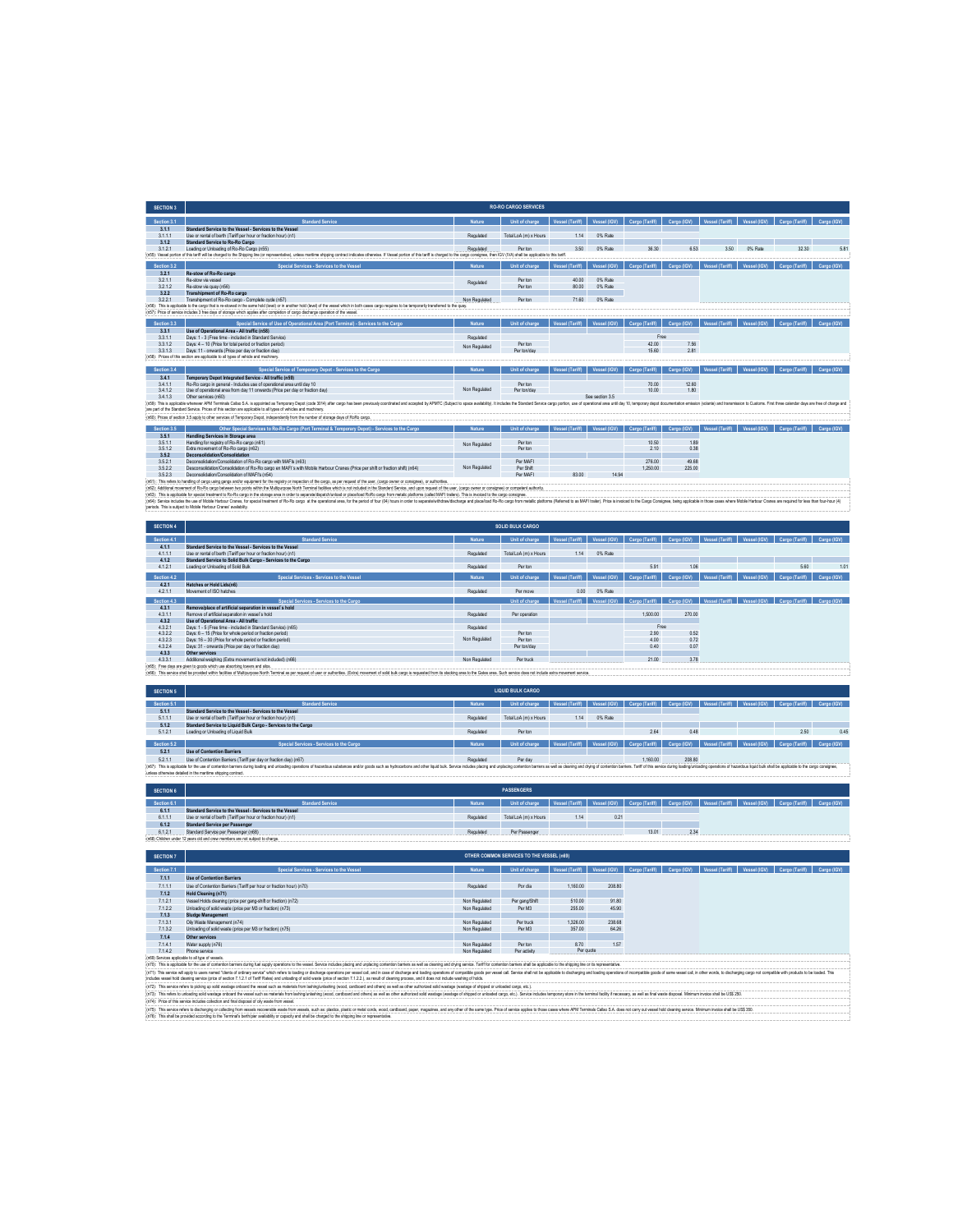| <b>SECTION 3</b>     |                                                                                                                                                                                                                                                                                                                                                                                                                                                                  |               | <b>RO-RO CARGO SERVICES</b>                                                    |                 |                    |                             |                                                  |                                                                                                                                                                                                                                |                                                                                                                               |
|----------------------|------------------------------------------------------------------------------------------------------------------------------------------------------------------------------------------------------------------------------------------------------------------------------------------------------------------------------------------------------------------------------------------------------------------------------------------------------------------|---------------|--------------------------------------------------------------------------------|-----------------|--------------------|-----------------------------|--------------------------------------------------|--------------------------------------------------------------------------------------------------------------------------------------------------------------------------------------------------------------------------------|-------------------------------------------------------------------------------------------------------------------------------|
| Section 3.1          | <b>Standard Servic</b>                                                                                                                                                                                                                                                                                                                                                                                                                                           |               | Unit of charge                                                                 | Vessel (Tariff) |                    | Vessel (IGV) Cargo (Tariff) | Cargo (IGV)                                      |                                                                                                                                                                                                                                |                                                                                                                               |
| 3.1.1                | Standard Service to the Vessel - Services to the Vessel                                                                                                                                                                                                                                                                                                                                                                                                          |               |                                                                                |                 |                    |                             |                                                  |                                                                                                                                                                                                                                |                                                                                                                               |
| 3.1.1.1<br>3.1.2     | Use or rental of berth (Tariff per hour or fraction hour) (n1)<br>Standard Service to Ro-Ro Cargo                                                                                                                                                                                                                                                                                                                                                                | Regulated     | Total LoA (m) x Hours                                                          | 1.14            | 0% Rate            |                             |                                                  |                                                                                                                                                                                                                                |                                                                                                                               |
| 3.1.2.1              | Loading or Unloading of Ro-Ro Cargo (n55)                                                                                                                                                                                                                                                                                                                                                                                                                        | Regulated     | Per ton                                                                        | 3.50            | 0% Rate            | 36.30                       | 6.53                                             | 3.50<br>0% Rate                                                                                                                                                                                                                | 32.30<br>5.81                                                                                                                 |
|                      | (n55). Vessel portion of this tariff will be charged to the Shipping line (or representative), unless manifime shipping contract indicates otherwise. If Vessel portion of this tariff is charged to the cargo consignee, then                                                                                                                                                                                                                                   |               |                                                                                |                 |                    |                             |                                                  |                                                                                                                                                                                                                                |                                                                                                                               |
| Section 3.2<br>3.2.1 | Special Services - Services to the Vesse<br>Re-stow of Ro-Ro cargo                                                                                                                                                                                                                                                                                                                                                                                               | <b>Nature</b> | Unit of charge                                                                 | Vessel (Tariff) | Vessel (IGV)       | Cargo (Tariff)              | Cargo (IGV)                                      |                                                                                                                                                                                                                                |                                                                                                                               |
| 3.2.1.1<br>3212      | Re-stow via vessel                                                                                                                                                                                                                                                                                                                                                                                                                                               | Regulated     | Per ton                                                                        | 40.00<br>80.00  | 0% Rate<br>0% Rate |                             |                                                  |                                                                                                                                                                                                                                |                                                                                                                               |
| 322                  | Re-stow via ouav (n56)<br>Transhipment of Ro-Ro cargo                                                                                                                                                                                                                                                                                                                                                                                                            |               | Per ton                                                                        |                 |                    |                             |                                                  |                                                                                                                                                                                                                                |                                                                                                                               |
| 3221                 | Transhipment of Ro-Ro carpo - Complete cycle (n57)<br>(n56): This is applicable to the cargo that is re-stowed in the same hold (level) or in another hold (level) of the vessel which in both cases cargo requires to be temporarily transf                                                                                                                                                                                                                     | Non Regulated | Per ton                                                                        | 7160            | 0% Rate            |                             |                                                  |                                                                                                                                                                                                                                |                                                                                                                               |
|                      | (n57): Price of service includes 3 free days of storage which applies after completion of cargo discharge operation of the vessel                                                                                                                                                                                                                                                                                                                                |               |                                                                                |                 |                    |                             |                                                  |                                                                                                                                                                                                                                |                                                                                                                               |
| Section 3.3          | <b>Special Service of Use of Operation</b><br>sal Area (Port Te                                                                                                                                                                                                                                                                                                                                                                                                  |               | Unit of charg                                                                  |                 |                    |                             | Vessel (IGV) Cargo (Tariff) Cargo (IGV)          |                                                                                                                                                                                                                                | Cargo (IGV)                                                                                                                   |
| 3.3.1                | Use of Operational Area - All traffic (n58)                                                                                                                                                                                                                                                                                                                                                                                                                      |               |                                                                                |                 |                    |                             |                                                  |                                                                                                                                                                                                                                |                                                                                                                               |
| 3.3.1.1<br>3312      | Days: 1 - 3 (Free time - included in Standard Service)<br>Days: 4 - 10 (Price for total period or fraction period)                                                                                                                                                                                                                                                                                                                                               | Regulated     | Per ton                                                                        |                 |                    | Free<br>42.00               | 7.56                                             |                                                                                                                                                                                                                                |                                                                                                                               |
| 3313                 | Days: 11 - onwards (Price per day or fraction day)                                                                                                                                                                                                                                                                                                                                                                                                               | Non Regulated | Per ton/day                                                                    |                 |                    | 15.60                       | 281                                              |                                                                                                                                                                                                                                |                                                                                                                               |
|                      | (n68): Prices of this section are applicable to all types of vehicle and machinery.                                                                                                                                                                                                                                                                                                                                                                              |               |                                                                                |                 |                    |                             |                                                  |                                                                                                                                                                                                                                |                                                                                                                               |
| Section 3.4          | Special Service of Temporary Depot - Services to the C                                                                                                                                                                                                                                                                                                                                                                                                           |               | Unit of char                                                                   |                 |                    | Cargo (Tariff)              | Cargo (IGV)                                      |                                                                                                                                                                                                                                |                                                                                                                               |
| 3.4.1<br>3.4.1.1     | Temporary Depot Integrated Service - All traffic (n59)<br>Ro-Ro cargo in general - Includes use of operational area until day 10                                                                                                                                                                                                                                                                                                                                 |               | Per tor                                                                        |                 |                    | 70.00                       | 12.60                                            |                                                                                                                                                                                                                                |                                                                                                                               |
| 3412                 | Use of operational area from day 11 onwards (Price per day or fraction day)                                                                                                                                                                                                                                                                                                                                                                                      | Non Regulated | Per ton/day                                                                    |                 |                    | 10.00                       | 1.80                                             |                                                                                                                                                                                                                                |                                                                                                                               |
| 3.4.1.3              | Other services (n60)<br>(n59): This is applicable whenever APM Terminals Callao S.A. is appointed as Temporary Depot (code 3014) after cargo has been previously coordinated and accepted by APMTC (Subject to space availabilit). It includes the Sta                                                                                                                                                                                                           |               |                                                                                |                 | See section 3.5    |                             |                                                  |                                                                                                                                                                                                                                |                                                                                                                               |
|                      | are part of the Standard Service. Prices of this section are applicable to all types of vehicles and machinery.                                                                                                                                                                                                                                                                                                                                                  |               |                                                                                |                 |                    |                             |                                                  |                                                                                                                                                                                                                                |                                                                                                                               |
|                      | (n60): Prices of section 3.5 apply to other services of Temporary Depot, independently from the number of storage days of RoRo cargo.                                                                                                                                                                                                                                                                                                                            |               |                                                                                |                 |                    |                             |                                                  |                                                                                                                                                                                                                                |                                                                                                                               |
| Section 3.5          | Other Special Services to Ro-Ro Cargo (Port Terminal & Temporary Depot) - Services to the Carg                                                                                                                                                                                                                                                                                                                                                                   |               | Unit of charge   Vessel (Tariff)   Vessel (IGV)   Cargo (Tariff)   Cargo (IGV) |                 |                    |                             |                                                  |                                                                                                                                                                                                                                |                                                                                                                               |
| 3.5.1<br>3.5.1.1     | Handling Services in Storage area<br>Handling for registry of Ro-Ro cargo (n61)                                                                                                                                                                                                                                                                                                                                                                                  |               | Per ton                                                                        |                 |                    | 10.50                       | 1.89                                             |                                                                                                                                                                                                                                |                                                                                                                               |
| 3512                 | Extra movement of Ro-Ro caroo (n62)                                                                                                                                                                                                                                                                                                                                                                                                                              | Non Regulated | Per ton                                                                        |                 |                    | 210                         | 0.38                                             |                                                                                                                                                                                                                                |                                                                                                                               |
| 3.5.2<br>3.5.2.1     | Deconsolidation/Consolidation<br>Deconsolidation/Consolidation of Ro-Ro cargo with MAFIs (n63)                                                                                                                                                                                                                                                                                                                                                                   |               | Per MAFI                                                                       |                 |                    | 276.00                      | 49.68                                            |                                                                                                                                                                                                                                |                                                                                                                               |
| 3522                 | Desconsolidation/Consolidation of Ro-Ro cargo en MAFI's with Mobile Harbour Cranes (Price per shift or fraction shift) (n64)                                                                                                                                                                                                                                                                                                                                     | Non Regulated | Per Shift                                                                      |                 | 14.94              | 1,250.00                    | 225.00                                           |                                                                                                                                                                                                                                |                                                                                                                               |
| 3.523                | Deconsolidation/Consolidation of MAFI's (n54)<br>(n61) : This refers to handling of cargo using gangs and/or equipment for the registry or inspection of the cargo, as per request of the user, (cargo owner or consignee), or authorities.                                                                                                                                                                                                                      |               | Per MAFI                                                                       | 83.00           |                    |                             |                                                  |                                                                                                                                                                                                                                |                                                                                                                               |
|                      | (r62): Additional movement of Ro-Ro cargo between two points within the Multipurpose North Terminal facilities which is not included in the Standard Service, and upon request of the user, (cargo owner or consignee) or comp                                                                                                                                                                                                                                   |               |                                                                                |                 |                    |                             |                                                  |                                                                                                                                                                                                                                |                                                                                                                               |
|                      | (n63): This is applicable for special treatment to Ro-Ro cargo in the storage area in order to separabilitispatch unicad or place/bad RoRo cargo from metalic platforms (called MAF) trailers). This is invoiced to the cargo<br>(n64): Service includes the use of Mobile Harbour Cranes, for special treatment of Ro-Ro cargo at the operational area, for the period of four (04) hours in order to separate                                                  |               |                                                                                |                 |                    |                             |                                                  | harge and place/load Ro-Ro cargo from metallic platforms (Referred to as MAFI trailer). Price is invoiced to the Cargo Consignee, being applicable in those cases where Mobile Harbour Cranes are required for less than four- |                                                                                                                               |
|                      | periods. This is subject to Mobile Harbour Connect availability                                                                                                                                                                                                                                                                                                                                                                                                  |               |                                                                                |                 |                    |                             |                                                  |                                                                                                                                                                                                                                |                                                                                                                               |
|                      |                                                                                                                                                                                                                                                                                                                                                                                                                                                                  |               |                                                                                |                 |                    |                             |                                                  |                                                                                                                                                                                                                                |                                                                                                                               |
| <b>SECTION 4</b>     |                                                                                                                                                                                                                                                                                                                                                                                                                                                                  |               | <b>SOLID BULK CARGO</b>                                                        |                 |                    |                             |                                                  |                                                                                                                                                                                                                                |                                                                                                                               |
| ection 4.1           | <b>Standard Service</b>                                                                                                                                                                                                                                                                                                                                                                                                                                          | <b>Noture</b> | <b>Unit of charge</b>                                                          | Vessel (Tariff) |                    |                             |                                                  | Vessel (IGV) Cargo (Tariff) Cargo (IGV) Vessel (Tariff)                                                                                                                                                                        | Cargo (Tariff)<br>Cargo (IGV)                                                                                                 |
| 4.1.1                | Standard Service to the Vessel - Services to the Vessel                                                                                                                                                                                                                                                                                                                                                                                                          |               |                                                                                |                 |                    |                             |                                                  |                                                                                                                                                                                                                                |                                                                                                                               |
| 4.1.1.1<br>4.1.2     | Use or rental of berth (Tariff per hour or fraction hour) (n1)<br>Standard Service to Solid Bulk Cargo - Services to the Cargo                                                                                                                                                                                                                                                                                                                                   | Regulated     | Total LoA (m) x Hours                                                          | 1.14            | 0% Rate            |                             |                                                  |                                                                                                                                                                                                                                |                                                                                                                               |
| 4.12.1               | Loading or Unloading of Solid Bulk                                                                                                                                                                                                                                                                                                                                                                                                                               | Regulated     | Per ton                                                                        |                 |                    | 5.91                        | 1.06                                             |                                                                                                                                                                                                                                | 5.60<br>1.01                                                                                                                  |
| ection 4.2           | Special Services - Services to the Vesse                                                                                                                                                                                                                                                                                                                                                                                                                         | <b>Natur</b>  | Unit of charge                                                                 | Vessel (Tariff) |                    |                             | Vessel (IGV) Cargo (Tariff) Cargo (IGV)          | Vessel (Tariff) Vessel (IGV)                                                                                                                                                                                                   | Cargo (IGV)<br>Cargo (Tariff)                                                                                                 |
| 42.1<br>4.2.1.1      | Hatches or Hold Lids(n6)<br>Movement of ISO hetches                                                                                                                                                                                                                                                                                                                                                                                                              | Regulated     | Per move                                                                       | 0.00            | 0% Rate            |                             |                                                  |                                                                                                                                                                                                                                |                                                                                                                               |
| ection 4.3           | Special Services - Services to t                                                                                                                                                                                                                                                                                                                                                                                                                                 |               | Unit of charge                                                                 |                 |                    |                             |                                                  | Vessel (Tariff) Vessel (IGV) Cargo (Tariff) Cargo (IGV) Vessel (Tariff)                                                                                                                                                        |                                                                                                                               |
| 4.3.1                | Removelplace of artificial separation in vessel's hold                                                                                                                                                                                                                                                                                                                                                                                                           |               |                                                                                |                 |                    |                             |                                                  |                                                                                                                                                                                                                                |                                                                                                                               |
| 4.3.1.1<br>4.3.2     | Remove of artificial separation in vessel's hold<br>Use of Operational Area - All traffic                                                                                                                                                                                                                                                                                                                                                                        | Regulated     | Per operation                                                                  |                 |                    | 1,500.00                    | 270.00                                           |                                                                                                                                                                                                                                |                                                                                                                               |
| 4.3.2.1              | Davs: 1 - 5 (Free time - included in Standard Service) (n65)                                                                                                                                                                                                                                                                                                                                                                                                     | Regulated     |                                                                                |                 |                    | Free                        |                                                  |                                                                                                                                                                                                                                |                                                                                                                               |
| 4322<br>4323         | Davs: 6 - 15 (Price for whole period or fraction period)<br>Days: 16 - 30 (Price for whole period or fraction period).                                                                                                                                                                                                                                                                                                                                           | Non Regulated | Per ton<br>Perton                                                              |                 |                    | 2.90<br>400                 | 0.52<br>0.72                                     |                                                                                                                                                                                                                                |                                                                                                                               |
| 4324                 | Days: 31 - onwards (Price per day or fraction day)                                                                                                                                                                                                                                                                                                                                                                                                               |               | Per ton/day                                                                    |                 |                    | 0.40                        | 0.07                                             |                                                                                                                                                                                                                                |                                                                                                                               |
| 4.3.3<br>4.3.3.1     | Other services<br>Additional weighing (Extra movement is not included) (n66)                                                                                                                                                                                                                                                                                                                                                                                     | Non Regulated | Per truck                                                                      |                 |                    | 21.00                       | 3.78                                             |                                                                                                                                                                                                                                |                                                                                                                               |
|                      | (n65): Free days are given to goods which use absorbing towers and silos.                                                                                                                                                                                                                                                                                                                                                                                        |               |                                                                                |                 |                    |                             |                                                  |                                                                                                                                                                                                                                |                                                                                                                               |
|                      | (n66): This service shall be provided within facilities of Multipurpose North Terminal as per request of user or authorities. (Extra) movement of solid bulk cargo is requested from its stacking area to the Gates area. Such                                                                                                                                                                                                                                   |               |                                                                                |                 |                    |                             |                                                  |                                                                                                                                                                                                                                |                                                                                                                               |
|                      |                                                                                                                                                                                                                                                                                                                                                                                                                                                                  |               | <b>LIQUID BULK CARGO</b>                                                       |                 |                    |                             |                                                  |                                                                                                                                                                                                                                |                                                                                                                               |
| <b>SECTION 5</b>     |                                                                                                                                                                                                                                                                                                                                                                                                                                                                  |               |                                                                                |                 |                    |                             |                                                  |                                                                                                                                                                                                                                |                                                                                                                               |
| Section 5.1<br>5.1.1 | <b>Standard Service</b><br>Standard Service to the Vessel - Services to the Vesse                                                                                                                                                                                                                                                                                                                                                                                |               | Unit of charge                                                                 | Vessel (Tariff) |                    |                             | Vessel (IGV)   Cargo (Tariff)   Cargo (IGV)   Ve |                                                                                                                                                                                                                                |                                                                                                                               |
| 5.1.1.1              | Use or rental of berth (Tariff per hour or fraction hour) (n1)                                                                                                                                                                                                                                                                                                                                                                                                   | Regulated     | Total LoA (m) x Hours                                                          | 1.14            | 0% Rate            |                             |                                                  |                                                                                                                                                                                                                                |                                                                                                                               |
| 5.1.2                | Standard Service to Liquid Bulk Cargo - Services to the Cargo                                                                                                                                                                                                                                                                                                                                                                                                    |               |                                                                                |                 |                    |                             |                                                  |                                                                                                                                                                                                                                |                                                                                                                               |
| 5.1.2.1              | Loading or Unloading of Liquid Bulk                                                                                                                                                                                                                                                                                                                                                                                                                              | Regulated     | Per tor                                                                        |                 |                    | 2.64                        | 0.48                                             |                                                                                                                                                                                                                                | 2.50<br>0.45                                                                                                                  |
| Section 5.2          | Special Services - Services to the Cargo                                                                                                                                                                                                                                                                                                                                                                                                                         | <b>Nature</b> | Unit of charge                                                                 |                 |                    |                             |                                                  |                                                                                                                                                                                                                                | Vessel (Tariff)   Vessel (IGV)   Cargo (Tariff)   Cargo (IGV)   Vessel (Tariff)   Vessel (IGV)   Cargo (Tariff)   Cargo (IGV) |
| 5.2.1<br>5.2.1.1     | <b>Use of Contention Barriers</b><br>Use of Contention Barriers (Tariff per day or fraction day) (n67)                                                                                                                                                                                                                                                                                                                                                           | Regulated     | Per day                                                                        |                 |                    | 1 160 00                    | 208.80                                           |                                                                                                                                                                                                                                |                                                                                                                               |
|                      | (n57): This is applicable for the use of contention barriers during basing and unkoding operations of the asted outcours and/or goods such as hydrocarbons and other liquid bulk. Service incodes particles contention barrier                                                                                                                                                                                                                                   |               |                                                                                |                 |                    |                             |                                                  |                                                                                                                                                                                                                                |                                                                                                                               |
|                      | unless otherwise detailed in the maritime shipping contract                                                                                                                                                                                                                                                                                                                                                                                                      |               |                                                                                |                 |                    |                             |                                                  |                                                                                                                                                                                                                                |                                                                                                                               |
|                      |                                                                                                                                                                                                                                                                                                                                                                                                                                                                  |               | <b>PASSENGERS</b>                                                              |                 |                    |                             |                                                  |                                                                                                                                                                                                                                |                                                                                                                               |
| <b>SECTION 6</b>     |                                                                                                                                                                                                                                                                                                                                                                                                                                                                  |               |                                                                                |                 |                    |                             |                                                  |                                                                                                                                                                                                                                |                                                                                                                               |
| Section 6.1          | <b>Standard Service</b>                                                                                                                                                                                                                                                                                                                                                                                                                                          | Notura        | Unit of charge                                                                 |                 |                    |                             |                                                  | Vessel (Tariff)   Vessel (IGV)   Cargo (Tariff)   Cargo (IGV)   Vessel (Tariff)   Vessel (IGV)                                                                                                                                 |                                                                                                                               |
| 6.1.1<br>6.1.1.1     | Standard Service to the Vessel - Services to the Vessel<br>Use or rental of berth (Tariff per hour or fraction hour) (n1)                                                                                                                                                                                                                                                                                                                                        | Regulated     | Total LoA (m) x Hours                                                          | 1.14            | 0.21               |                             |                                                  |                                                                                                                                                                                                                                |                                                                                                                               |
| 6.1.2                | Standard Service ner Passenner                                                                                                                                                                                                                                                                                                                                                                                                                                   |               |                                                                                |                 |                    |                             |                                                  |                                                                                                                                                                                                                                |                                                                                                                               |
| 6.1.2.1              | Standard Service per Passenger (n68)                                                                                                                                                                                                                                                                                                                                                                                                                             | Regulated     | Per Passenger                                                                  |                 |                    | 13.01                       | 2.34                                             |                                                                                                                                                                                                                                |                                                                                                                               |
|                      | (n68). Children under 12 years old and crew members are not subject to charge.                                                                                                                                                                                                                                                                                                                                                                                   |               |                                                                                |                 |                    |                             |                                                  |                                                                                                                                                                                                                                |                                                                                                                               |
| <b>SECTION 7</b>     |                                                                                                                                                                                                                                                                                                                                                                                                                                                                  |               | OTHER COMMON SERVICES TO THE VESSEL (n69)                                      |                 |                    |                             |                                                  |                                                                                                                                                                                                                                |                                                                                                                               |
|                      |                                                                                                                                                                                                                                                                                                                                                                                                                                                                  |               |                                                                                |                 |                    |                             |                                                  |                                                                                                                                                                                                                                |                                                                                                                               |
| Section 7.1<br>7.1.1 | Special Services - Services to the Vesse<br><b>Use of Contention Barriers</b>                                                                                                                                                                                                                                                                                                                                                                                    |               |                                                                                |                 |                    |                             |                                                  | Vessel (Tariff)   Vessel (IGV)   Cargo (Tariff)   Cargo (IGV)   Vessel (Tariff)   Vessel (IGV)   Cargo (Tariff)   Cargo (IGV)                                                                                                  |                                                                                                                               |
|                      |                                                                                                                                                                                                                                                                                                                                                                                                                                                                  | Regulated     | Por dia                                                                        | 1.160.00        | 208.80             |                             |                                                  |                                                                                                                                                                                                                                |                                                                                                                               |
| 7.1.1.1              | Use of Contention Barriers (Tariff per hour or fraction hour) (n70)                                                                                                                                                                                                                                                                                                                                                                                              |               |                                                                                |                 |                    |                             |                                                  |                                                                                                                                                                                                                                |                                                                                                                               |
| 7.1.2                | Hold Cleaning (n71)                                                                                                                                                                                                                                                                                                                                                                                                                                              |               |                                                                                | 510.00          | 91.80<br>45.90     |                             |                                                  |                                                                                                                                                                                                                                |                                                                                                                               |
| 7.12.1               | Vessel Holds cleaning (price per gang-shift or fraction) (n72)                                                                                                                                                                                                                                                                                                                                                                                                   | Non Regulated | Per gang/Shift                                                                 |                 |                    |                             |                                                  |                                                                                                                                                                                                                                |                                                                                                                               |
| 7122<br>7.1.3        | Unloading of solid waste (price per M3 or fraction) (n73)<br><b>Sludge Management</b>                                                                                                                                                                                                                                                                                                                                                                            | Non Regulated | Per M3                                                                         | 255.00          |                    |                             |                                                  |                                                                                                                                                                                                                                |                                                                                                                               |
| 7.1.3.1              | Olly Waste Management (n74)                                                                                                                                                                                                                                                                                                                                                                                                                                      | Non Regulated | Per truck                                                                      | 1,326.00        | 238.68             |                             |                                                  |                                                                                                                                                                                                                                |                                                                                                                               |
| 7.1.3.2              | Unloading of solid waste (price per M3 or fraction) (n75)                                                                                                                                                                                                                                                                                                                                                                                                        | Non Regulated | Per M3                                                                         | 357.00          | 64.26              |                             |                                                  |                                                                                                                                                                                                                                |                                                                                                                               |
| 7.1.4<br>7.1.4.1     | Other services<br>Water supply (n76)                                                                                                                                                                                                                                                                                                                                                                                                                             | Non Regulated | Perton                                                                         | 8.70            | 1.57               |                             |                                                  |                                                                                                                                                                                                                                |                                                                                                                               |
| 7.1.4.2              | Phone service                                                                                                                                                                                                                                                                                                                                                                                                                                                    | Non Regulated | Per activity                                                                   | Per quote       |                    |                             |                                                  |                                                                                                                                                                                                                                |                                                                                                                               |
|                      | (n69) Services applicable to all type of vessels.                                                                                                                                                                                                                                                                                                                                                                                                                |               |                                                                                |                 |                    |                             |                                                  |                                                                                                                                                                                                                                |                                                                                                                               |
|                      | (n70): This is applicable for the use of contention barriers during fuel supply operations to the vessel. Service includes placing and unplacing contention barriers as well as cleaning and drying service. Tariff for conten<br>(n7): This service will apply to users named "dients of ordinary service" which refers to basting or declarge perations provessed call, and in case of discharge perations of compatible positions of compatible to change and |               |                                                                                |                 |                    |                             |                                                  |                                                                                                                                                                                                                                |                                                                                                                               |
|                      | includes vessel hold desning service (price of section 7.1.2.1 of Tariff Rates) and unloading of solid waste (price of section 7.1.2.2,), as result of cleaning process, and it does not include washing of holds.                                                                                                                                                                                                                                               |               |                                                                                |                 |                    |                             |                                                  |                                                                                                                                                                                                                                |                                                                                                                               |
|                      | (n72): This service refers to picking up solid wastage onboard the vessel such as materials from lashing/unlashing (wood, cardboard and others) as well as other authorized solid wastage (wastage of shipped or unloaded carg                                                                                                                                                                                                                                   |               |                                                                                |                 |                    |                             |                                                  |                                                                                                                                                                                                                                |                                                                                                                               |
|                      | (n73): This refers to unloading solid wastage onboard the vessel such as materials from teshing/unlashing (wood, candboard and others) as well as cthe authorized solid wastage (wastage of shipped or unloaded cargo, etc.).<br>(n74): Price of this service includes collection and final discosal of giv waste from vessel                                                                                                                                    |               |                                                                                |                 |                    |                             |                                                  |                                                                                                                                                                                                                                |                                                                                                                               |
|                      | (n/S). This service refers to discharging or collecting from vessels recoverable waste from vessels, such as plastics, plastic or metal cords, wood, cardboard, paper, magazines, and any other of the same type. Price of ser<br>(n76): This shall be provided according to the Terminal's berth/pier availability or capacity and shall be charged to the shipping line or representative.                                                                     |               |                                                                                |                 |                    |                             |                                                  |                                                                                                                                                                                                                                |                                                                                                                               |